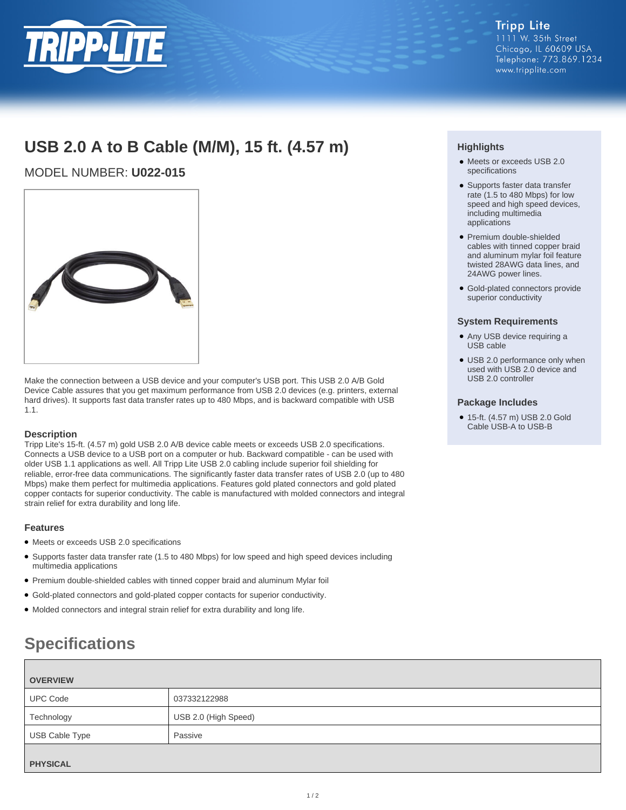

## **USB 2.0 A to B Cable (M/M), 15 ft. (4.57 m)**

## MODEL NUMBER: **U022-015**



Make the connection between a USB device and your computer's USB port. This USB 2.0 A/B Gold Device Cable assures that you get maximum performance from USB 2.0 devices (e.g. printers, external hard drives). It supports fast data transfer rates up to 480 Mbps, and is backward compatible with USB 1.1.

### **Description**

Tripp Lite's 15-ft. (4.57 m) gold USB 2.0 A/B device cable meets or exceeds USB 2.0 specifications. Connects a USB device to a USB port on a computer or hub. Backward compatible - can be used with older USB 1.1 applications as well. All Tripp Lite USB 2.0 cabling include superior foil shielding for reliable, error-free data communications. The significantly faster data transfer rates of USB 2.0 (up to 480 Mbps) make them perfect for multimedia applications. Features gold plated connectors and gold plated copper contacts for superior conductivity. The cable is manufactured with molded connectors and integral strain relief for extra durability and long life.

### **Features**

- Meets or exceeds USB 2.0 specifications
- Supports faster data transfer rate (1.5 to 480 Mbps) for low speed and high speed devices including multimedia applications
- Premium double-shielded cables with tinned copper braid and aluminum Mylar foil
- Gold-plated connectors and gold-plated copper contacts for superior conductivity.
- Molded connectors and integral strain relief for extra durability and long life.

# **Specifications**

| <b>OVERVIEW</b> |                      |
|-----------------|----------------------|
| <b>UPC Code</b> | 037332122988         |
| Technology      | USB 2.0 (High Speed) |
| USB Cable Type  | Passive              |
| <b>PHYSICAL</b> |                      |

### **Highlights**

- Meets or exceeds USB 2.0 specifications
- Supports faster data transfer rate (1.5 to 480 Mbps) for low speed and high speed devices, including multimedia applications
- Premium double-shielded cables with tinned copper braid and aluminum mylar foil feature twisted 28AWG data lines, and 24AWG power lines.
- Gold-plated connectors provide superior conductivity

### **System Requirements**

- Any USB device requiring a USB cable
- USB 2.0 performance only when used with USB 2.0 device and USB 2.0 controller

### **Package Includes**

● 15-ft. (4.57 m) USB 2.0 Gold Cable USB-A to USB-B